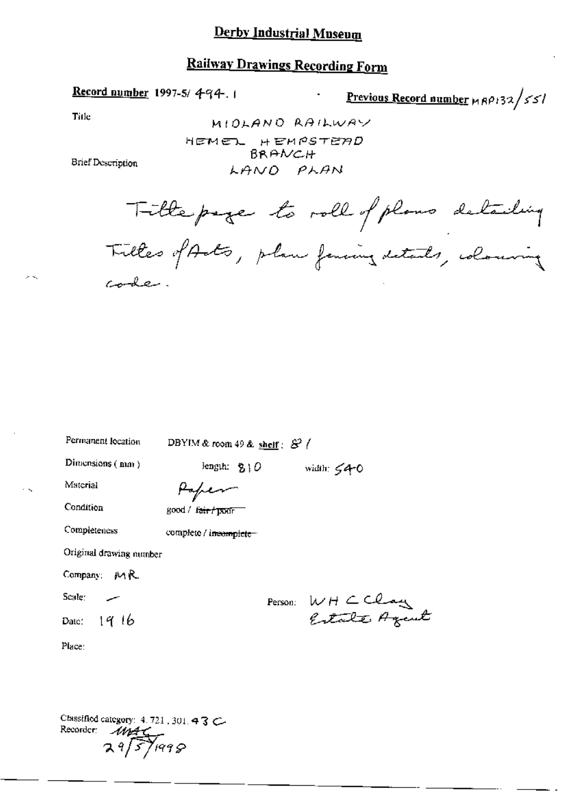### **Railway Drawings Recording Form**

Record number 1997-5/494.1

Previous Record number MRP132/551

Title

MIOLANO RAILWAY HEMEL HEMPSTEAD BRANCH LAND PLAN

**Brief Description** 

code.

Titlepage to roll of plans detailing Tilles of Acts, plan faming details, colomning

| Permanent location<br>DBYIM & room 49 & shelf: $\mathcal{B}^2$ / |                                |  |                 |
|------------------------------------------------------------------|--------------------------------|--|-----------------|
| Dimensions (mm)                                                  | length: $g \upharpoonright O$  |  | width: $540$    |
| Material                                                         | Popen                          |  |                 |
| Condition                                                        | good / f <del>air / poor</del> |  |                 |
| Completeness                                                     | complete / incomplete-         |  |                 |
| Original drawing member                                          |                                |  |                 |
| Company: $M$ R                                                   |                                |  |                 |
| Scale:                                                           |                                |  |                 |
| Date: $1916$                                                     |                                |  | Person: WHCClay |
| Place:                                                           |                                |  |                 |
|                                                                  |                                |  |                 |

Classified category:  $4.721$ , 301, 43 Recorder: 112 71998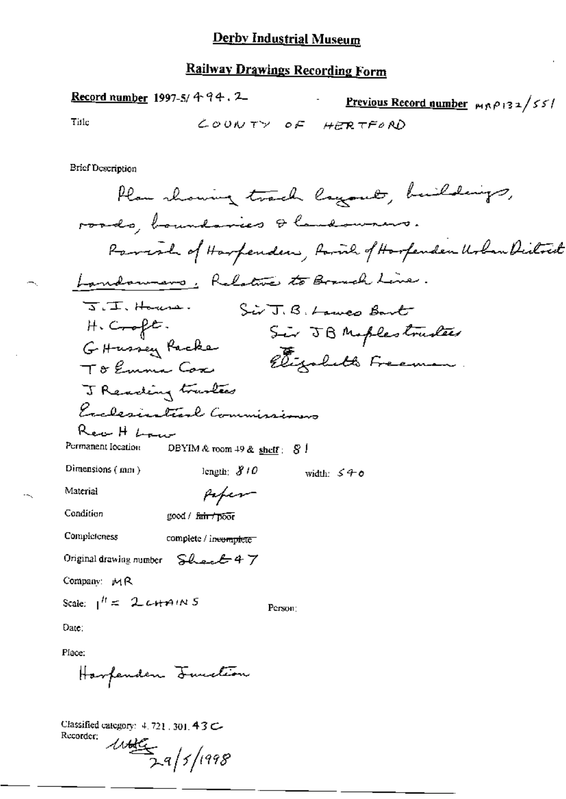#### **Railway Drawings Recording Form**

**Record number 1997-5/444.2-**<u>Previous Record number</u>  $m_{\tilde{N}}\rho_{132}/55/$ Title COUNTY OF HERTFORD

**Brief Description** 

Plan showing track layout, buildings, roads, boundaries & landowners. Parrish of Harpenders, famil of Harpenden Urban District Landonners: Relative to Board Line.  $\overline{S}$ .  $\overline{I}$ , House. Sir J. B. Lawes Bart  $H.C., for E.$ Sir JB Maples trustees G Hussey Racke Eizabeth Freeman To Emma Cox J Reacting transfers Exclesivation Commissioners Rea H Low Permanent Iocation DBYIM & room 49 & shelf :  $8$  ! Dimensions (mm) length;  $810$ width:  $540$ Pefer Material Condition good / fair / poor Completeness complete / ineemplete Original drawing number  $Sh_{\text{act}}\&$  4  $7$ Company:  $M$  $R$ Scale:  $1^H = 2c$ **HAINS** Person: Date: Place: Harfenden Tunction Classified category:  $4.721$ , 301, 43 C-

Recorder:  $\frac{1048}{29}/\frac{1}{1998}$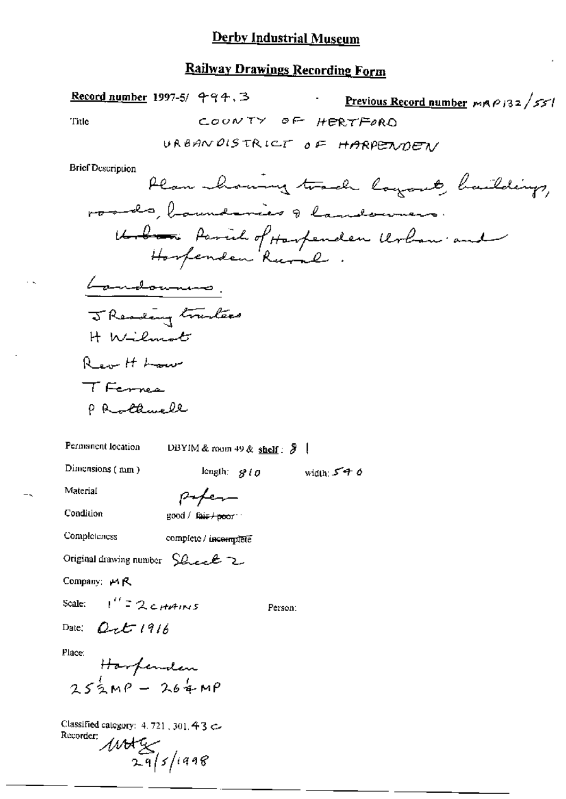### **Railway Drawings Recording Form**

Record number 1997-5/  $994.3$ Previous Record number  $m \wedge \beta$  32/55/ COONTY OF HERTFORD Title URBANDISTRICT OF HARPENDEN **Brief Description** Plan howing toach layout, baildings, rosals, houndances & landoumers. Undream Parish of Harpenden Urban and Landounino. J Reading trades H Wilmot Rear H Low TFernes P Rotamell Permanent location DBYIM & room 49 & shelf:  $\frac{1}{2}$  | Dimensions (mm) width:  $5 - 4$  0 length:  $g/g$ Material polen Condition good / fair / poor Completeness complete / incomplete Original drawing number Sheet Z Company: MR Scale:  $1'' = 2c$ *HAINS* Person: Date:  $Q_{\tau}t$  1916 Place: Harfenden  $253MP - 264MP$ Classified category: 4.721, 301.43 C-Recorder:  $M/dg$ <br>29/5/1998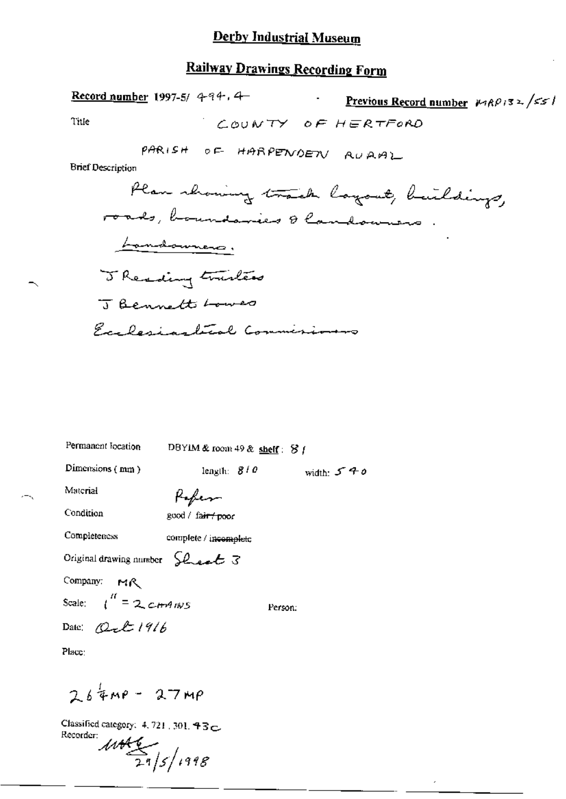### **Railway Drawings Recording Form**

Record number 1997-5/ 494, 4 <u>Previous Record number</u>  $\kappa_1 \kappa_2 \rho_1 \sigma_2 \sqrt{\kappa_2}$ Title COUNTY OF HERTFORD PARISH OF HARPENDEN RUAML **Brief Description** Plan showing track layout, buildings, roads, boundaries & landowners. Landonnero. Thesday trailers J Bennett Lowes Ecclesiastical Commissioners

| Permanent location               | DBYIM & room 49 & shelf: $8/$   |              |
|----------------------------------|---------------------------------|--------------|
| Dimensions (mm)                  | length: $810$                   | width: 5 4 0 |
| Material                         | Kyfer                           |              |
| Condition                        | good / fa <del>ir / poo</del> r |              |
| Completeness                     | complete / incomplete           |              |
| Original drawing number Sheet 3  |                                 |              |
| Company: MR                      |                                 |              |
| Scale: $\int_0^R = 2 \cosh 4w s$ | Person:                         |              |
| Date: Quilt 1916                 |                                 |              |
| Place:                           |                                 |              |
| $264me - 27me$                   |                                 |              |

Classified category: 4, 721, 301,  $43c$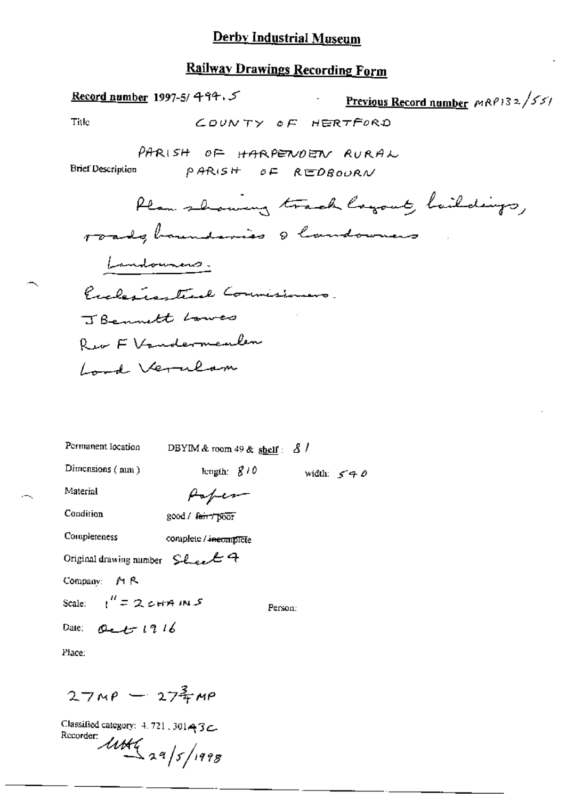### **Railway Drawings Recording Form**

Record number 1997-5/  $494.5$ Previous Record number  $MRP/32/55/$ Title COUNTY OF HERTFORD PARISH OF HARPENOEN RURAL **Brief Description** PARISH OF REDBOURN Plan showing track loyout, haildigs, roads boundaries & landowners Landounans. Exclares track Commissioners. J Bennett Lowes Rev F Vandermenler Lord Verulam Permanent location DBYIM & room 49 & shelf :  $8/$ 

Dimensions (mm) length:  $g/0$ width:  $5 - 9$ Material Paper Condition good / fairy poor Complereness complete / incomplete Original drawing number Sheet 4 Company: MR Scale:  $1'' = 2$  cript  $M S$ Person: Date: Que  $t$   $t$   $t$   $t$   $t$ Place:

 $27MP - 27\frac{3}{4}MP$ 

Classified category: 4.721, 301432 Recorder:  $\frac{\sqrt{444}}{29/5}$  /1998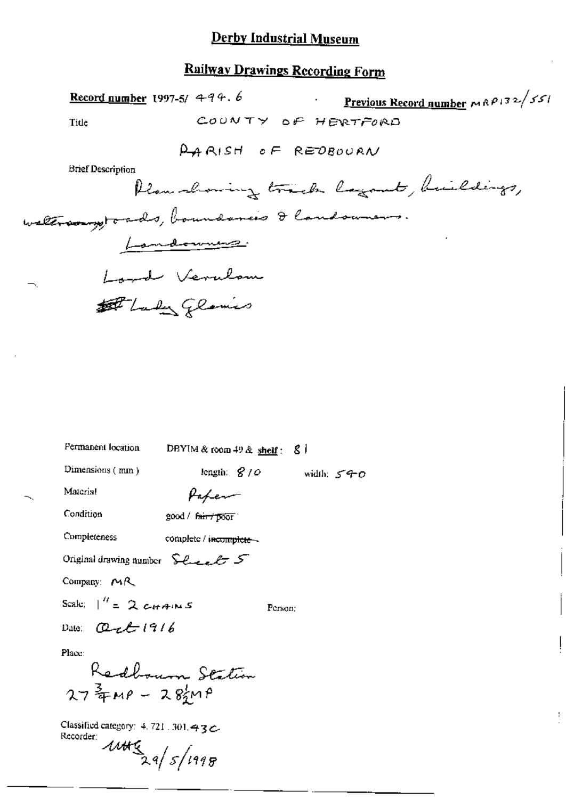# Railway Drawings Recording Form

| <b>Record number</b> 1997-5/ $444.6$                                  | to a                                                    | Previous Record number $mRP132/551$   |
|-----------------------------------------------------------------------|---------------------------------------------------------|---------------------------------------|
| Title                                                                 | COUNTY OF HERTFORD                                      |                                       |
|                                                                       | $A$ $A$ $B$ $B$ $B$ $C$ $C$ $D$ $B$ $D$ $B$ $D$ $B$ $D$ |                                       |
| <b>Brief Description</b>                                              |                                                         | Plan showing track logant, buildings, |
| weltnessytaads, boundaries & landowners.                              |                                                         |                                       |
| Landowness.                                                           |                                                         |                                       |
| Lord Verulam                                                          |                                                         |                                       |
| A Lady Glamics                                                        |                                                         |                                       |
|                                                                       |                                                         |                                       |
|                                                                       |                                                         |                                       |
|                                                                       |                                                         |                                       |
|                                                                       |                                                         |                                       |
|                                                                       |                                                         |                                       |
| Permanent location                                                    | DBYIM & room $49$ & shelf: $\&$ l                       |                                       |
| Dimensions (min)                                                      | length: $g/\rho$                                        | width: $540$                          |
| Material                                                              | Paper                                                   |                                       |
| Condition<br>good / fair / poor                                       |                                                         |                                       |
| Completeness<br>complete / incomplete -                               |                                                         |                                       |
| Original drawing number $\mathcal{L}_{\text{test}}$                   |                                                         |                                       |
| Company: $M$ $R$                                                      |                                                         |                                       |
| Scale: $\int_0^R = 2c_{H}A \log S$                                    | Person:                                                 |                                       |
| Date: $\mathcal{Q}_{\mathcal{L}}\mathcal{L}_{\mathcal{L}}$ 1916       |                                                         |                                       |
| Place:<br>Redbourn Station<br>$27\frac{3}{4}$ MP - $28\frac{1}{1}$ MP |                                                         |                                       |
| Classified category: 4.721.301.43 $\in$<br>Recorder:<br>4445/1998     |                                                         |                                       |

 $\frac{1}{2}$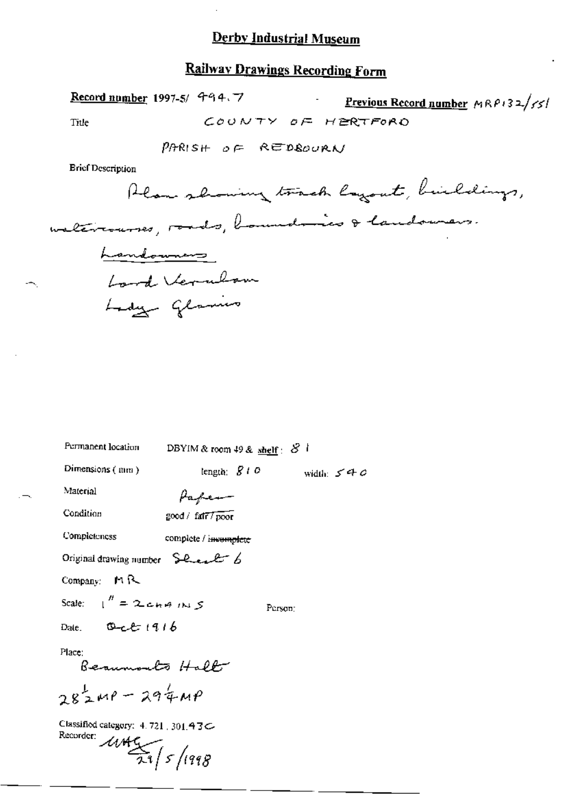# Railway Drawings Recording Form

Record number 1997-5/ $494.7$ **Previous Record number**  $MRP/32$ /55/ COUNTY OF HERTFORD Title

PARISH OF REDROURN

**Brief Description** 

∽.

| Permanent location                                                       | DBYIM & room 49 & shelf: $81$ |         |              |
|--------------------------------------------------------------------------|-------------------------------|---------|--------------|
| Dimensions $(mn)$                                                        | length: $B10$                 |         | width: $540$ |
| Material                                                                 |                               |         |              |
| Condition                                                                | good / fair $7$ poor          |         |              |
| Completeness                                                             | complete / invemplete         |         |              |
| Original drawing number $\sum_{n=1}^{\infty}$                            |                               |         |              |
| Company: $\mathbb{P} \setminus \mathbb{R}$                               |                               |         |              |
| Scale: $1'' = 2c+9$ $\mu$ 5                                              |                               | Person: |              |
| Date $0$ $c$ $t$ $t$ $t$ $t$ $t$                                         |                               |         |              |
| Place:<br>Beaumonts Halt                                                 |                               |         |              |
| $28241 - 29441$                                                          |                               |         |              |
| Classified category: 4.721, 301.43C-<br>Recorder: $\angle$ UMC 29/5/1998 |                               |         |              |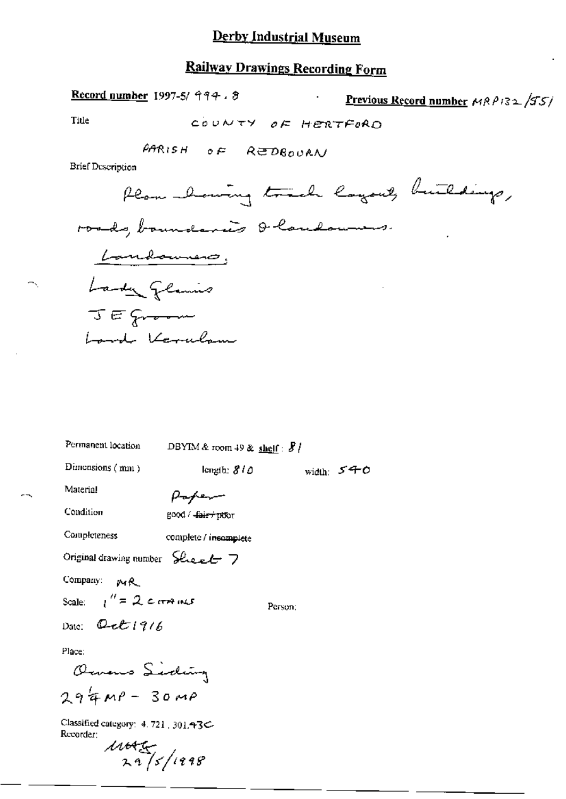## **Railway Drawings Recording Form**

 $\epsilon$ 

Record number 1997-5/ 999 . 8

Previous Record number  $MRPI32/35/$ 

Title

COUNTY OF HERTFORD

**Brief Description** 

| Permanent location                                                                  | DBYIM & room 49 & shelf: $\mathcal{S}/$ |         |              |  |  |
|-------------------------------------------------------------------------------------|-----------------------------------------|---------|--------------|--|--|
| Dimensions (mm)                                                                     | length: $810$                           |         | width: $540$ |  |  |
| Material                                                                            | سهعتههم                                 |         |              |  |  |
| Condition                                                                           | good / <del>Jair / pik</del> or         |         |              |  |  |
| Completeness                                                                        | complete / insomplete                   |         |              |  |  |
| Original drawing number Sliest $7$                                                  |                                         |         |              |  |  |
| Company: MR                                                                         |                                         |         |              |  |  |
| Scale: $t'' = 2$ cerrains                                                           |                                         | Person; |              |  |  |
| Date: $Q$ -et $1916$                                                                |                                         |         |              |  |  |
| Place:                                                                              |                                         |         |              |  |  |
| Ocums Siding                                                                        |                                         |         |              |  |  |
| $294$ MP - $30$ MP                                                                  |                                         |         |              |  |  |
| Classified category: $4.721$ , $301.43$ C-<br>Recorder:<br>$\frac{11085}{29}$ /1998 |                                         |         |              |  |  |
|                                                                                     |                                         |         |              |  |  |

╮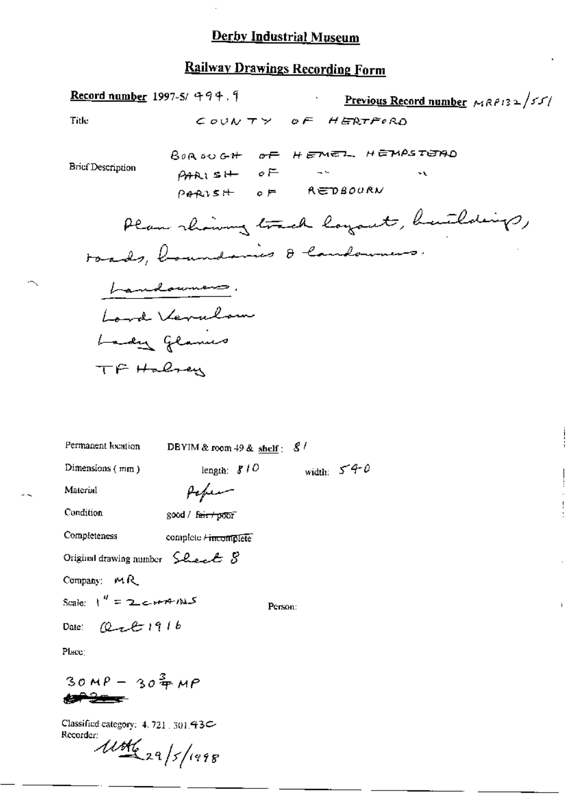## **Railway Drawings Recording Form**

| <b>Record number</b> 1997-5/ $994.9$                              | <u>Previous Record number</u> $\mu_1$ RP132/55/                                    |
|-------------------------------------------------------------------|------------------------------------------------------------------------------------|
| Title                                                             | COUNTY OF HERTFORD                                                                 |
| <b>Brief Description</b>                                          | BOROUGH OF HEMEL HEMPSTERD<br>$P = 0$<br>$\sim$ $\sim$<br>۰r<br>PARISH OF REDBOURN |
|                                                                   | Plan rhowing track loyant, buildings,                                              |
|                                                                   | toads, boundaries & landoumers.                                                    |
|                                                                   | Landowners.                                                                        |
|                                                                   | Lord Verulam                                                                       |
|                                                                   | Lady Glanus                                                                        |
| TF Halsen                                                         |                                                                                    |
|                                                                   |                                                                                    |
|                                                                   |                                                                                    |
| Permanent location                                                | DBYIM & room 49 & shelf: $81$                                                      |
| Dimensions $(mn)$                                                 | width: $540$<br>length: $810$                                                      |
| Material                                                          | Popen                                                                              |
| Condition                                                         | good / fair+poor                                                                   |
| Completeness                                                      | complete Fincomplete                                                               |
| Original drawing number $\mathcal{L}_{\text{back}}$ $\mathcal{B}$ |                                                                                    |
| Company: $MRT$                                                    |                                                                                    |
| Scale: $1'' = 2$ c $+ 9 - 115$                                    | Person:                                                                            |
| Date: $Q_{\text{ref}}(q)$                                         |                                                                                    |
| Place:                                                            |                                                                                    |
| $30MP - 304MP$                                                    |                                                                                    |

i.

Classified category: 4.721.301.43C<br>Recorder:<br> $\frac{UML}{29}/(998)$ 

╲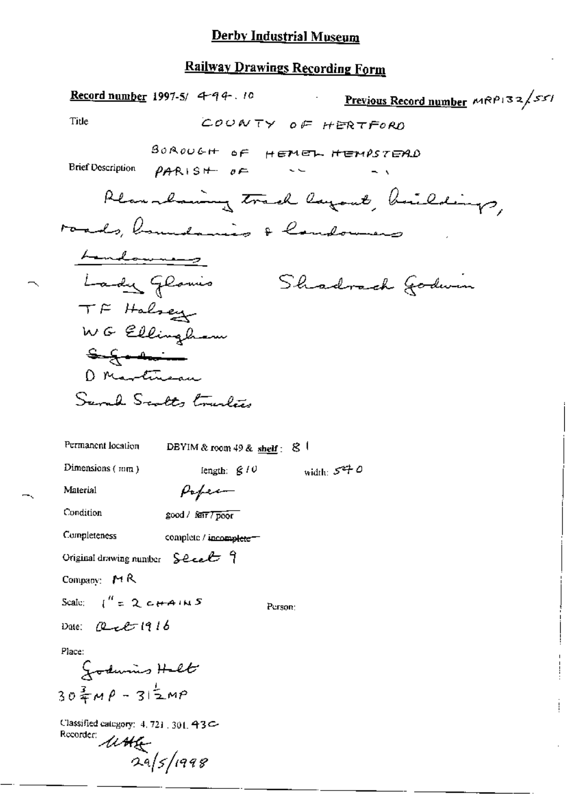# Railway Drawings Recording Form

| <b>Record number 1997-5/ 4-94.10</b><br>Previous Record number $MRP132$ /551                                                                                             |
|--------------------------------------------------------------------------------------------------------------------------------------------------------------------------|
| Title<br>COUNTY OF HERTFORD                                                                                                                                              |
| BOROUGH OF HEMEL HEMPSTERD<br><b>Brief Description</b><br>$PARISH$ $oF$                                                                                                  |
| Plan meaning track layout, buildings,                                                                                                                                    |
| roads, boundaries & landowners                                                                                                                                           |
| Landowners                                                                                                                                                               |
| Shadrach Jodwin<br>Lady Glamis                                                                                                                                           |
| TF Halsey                                                                                                                                                                |
| WG Ellingham                                                                                                                                                             |
| f(f)<br>D Martineau                                                                                                                                                      |
| Sarah Scotts tradics                                                                                                                                                     |
|                                                                                                                                                                          |
| Permanent location<br>DBYIM & room $49$ & shelf $\pm$ 8 $\pm$                                                                                                            |
| Dimensions $(mn)$<br>width: $540$<br>length: $g\neq 0$                                                                                                                   |
| Material<br>Popen                                                                                                                                                        |
| Condition<br>good / fair / poor                                                                                                                                          |
| Completeness<br>complete / incomplete-                                                                                                                                   |
| Original drawing number $\text{See} \rightarrow 9$                                                                                                                       |
| Company: $M R$                                                                                                                                                           |
| Scale: $\int_0^H z^2 \cdot 2 \cdot e^{H} A \cdot M S$<br>Person:                                                                                                         |
| Date: $0.2221916$                                                                                                                                                        |
| Place:<br>$\frac{6}{304}$<br>$\frac{3}{4}$ $\frac{3}{4}$ $\frac{3}{4}$ $\frac{3}{4}$ $\frac{1}{2}$ $\frac{1}{2}$ $\frac{1}{2}$ $\frac{1}{2}$ $\frac{1}{2}$ $\frac{1}{2}$ |
|                                                                                                                                                                          |
| Classified category: 4, 721, 301, 43C-<br>Recorder:                                                                                                                      |
| $rac{1146}{295/1998}$                                                                                                                                                    |

ł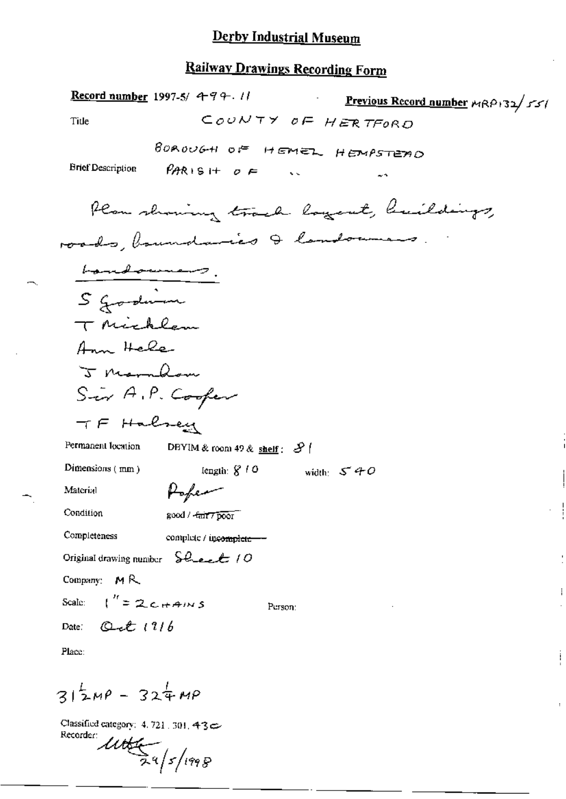## Railway Drawings Recording Form

| <b>Record number</b> 1997-5/ $499 - 11$<br>Previous Record number MRP132/551 |
|------------------------------------------------------------------------------|
| COUNTY OF HERTFORD<br>Title                                                  |
| BOROUGH OF HEMEL HEMPSTEAD                                                   |
| <b>Brief Description</b><br>$PAR(SH \circ F$<br>$\ddot{\phantom{a}}$<br>∼    |
| Plan showing track logent, buildings,                                        |
| roads, boundaries & landoumers.                                              |
| homelowners.                                                                 |
| S goodwin                                                                    |
| T Michlem                                                                    |
| Ann Hele                                                                     |
| J Marmhow                                                                    |
| Sir A.P. Cooper                                                              |
| TF Halsey                                                                    |
| Permanent location<br>DBYIM & room 49 & shelf: $3$                           |
| Dimensions (mm)<br>length: $8/10$<br>width: $540$                            |
| Material<br>Hopen                                                            |
| Condition<br>good / -fair 7 poor                                             |
| Completeness<br>complete / incomplete-                                       |
| Original drawing number $\int P_{\text{total}}(O)$                           |
| Company: $M R$                                                               |
| Scale: $\binom{n}{k}$ = 2 c + AINS<br>Person:                                |
| Date: Quet $(1/6)$                                                           |
| Place:                                                                       |

 $\mathbf{i}$ 

ļ

 $31^{\frac{1}{2}M\rho} - 32^{\frac{1}{4}M\rho}$ 

Classified category: 4.721.301.43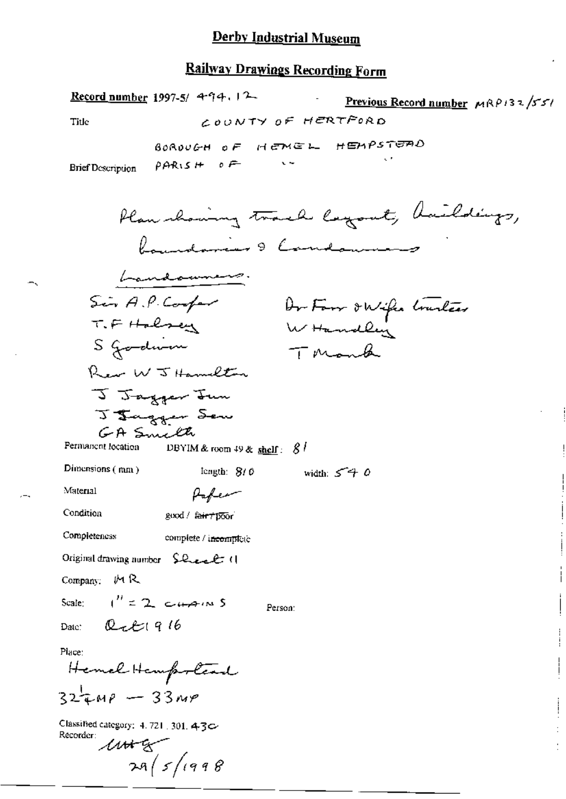### **Railway Drawings Recording Form**

Record number 1997-5/ 494.12

 $PAR(SH \circ F)$ 

Previous Record number  $MRP/32/551$ COUNTY OF HERTFORD

Title

**BOROUGH OF HEMEL HEMPSTEAD**  $\ddot{\phantom{a}}$ 

**Brief Description** 

Plan showing track layout, Unildings, Rayndamin 9 Camdonnia <u>Landoumers</u>. Sir A.P. Confer Ar Forr owifes trustees<br>W Handley T.F Halsey S goodwin Tomont Rear W J Hamilton J Jagger Jun J Jagger Sen GA Smith Permanent location DBYIM & room  $49$  & shelf:  $81$ Dimensions (mm) length: 810 width:  $540$ Material Paper Condition good / fair / poor Completeness complete / incomplete Original drawing number Sheelt (1 Company:  $M R$  $1''$  = 2  $\epsilon$ + $\epsilon$ <sup>1</sup>N S Scale: Person: Date:  $Q_{\mathcal{L}}\mathcal{L}$ 1916 Place: Hemel Hempoleant  $322$  and  $-33$  mp Classified category: 4.721, 301. 430 Recorder:<br> *MAT*  $29/5/1998$